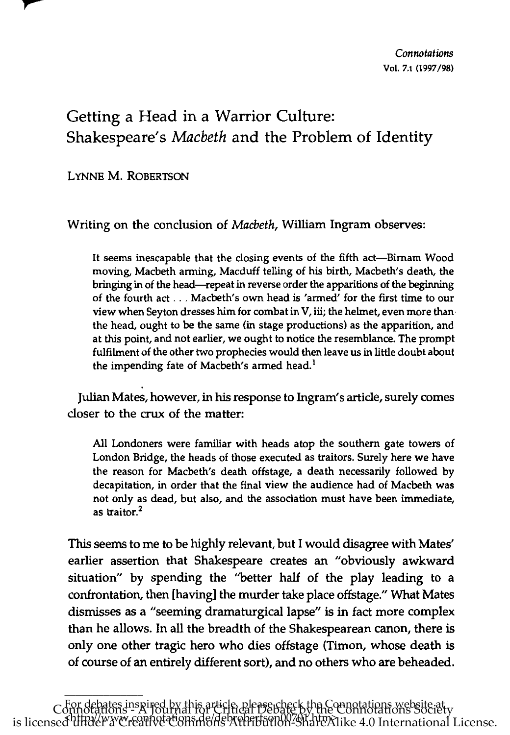## Getting a Head in a Warrior Culture: Shakespeare's *Macbeth* and the Problem of Identity

LYNNE M. ROBERTSON

\_\_\_\_\_\_\_\_\_\_\_\_\_\_

Writing on the conclusion of *Macbeth,* William Ingram observes:

It seems inescapable that the closing events of the fifth act-Birnam Wood moving, Macbeth arming, Macduff telling of his birth, Macbeth's death, the bringing in of the head-repeat in reverse order the apparitions of the beginning of the fourth act ... Macbeth's own head is 'armed' for the first time to our view when Seyton dresses him for combat in V, iii; the helmet, even more than· the head, ought to be the same (in stage productions) as the apparition, and at this point, and not earlier, we ought to notice the resemblance. The prompt fulfilment of the other two prophecies would then leave us in little doubt about the impending fate of Macbeth's armed head.<sup>1</sup>

Julian Mates, however, in his response to Ingram's article, surely comes closer to the crux of the matter:

All Londoners were familiar with heads atop the southern gate towers of London Bridge, the heads of those executed as traitors. Surely here we have the reason for Macbeth's death offstage, a death necessarily followed by decapitation, in order that the final view the audience had of Macbeth was not only as dead, but also, and the association must have been immediate, as traitor.<sup>2</sup>

This seems to me to be highly relevant, but I would disagree with Mates' earlier assertion that Shakespeare creates an "obviously awkward situation" by spending the "better half of the play leading to a confrontation, then [having] the murder take place offstage." What Mates dismisses as a "seeming dramaturgical lapse" is in fact more complex than he allows. In all the breadth of the Shakespearean canon, there is only one other tragic hero who dies offstage (Timon, whose death is of course of an entirely different sort), and no others who are beheaded.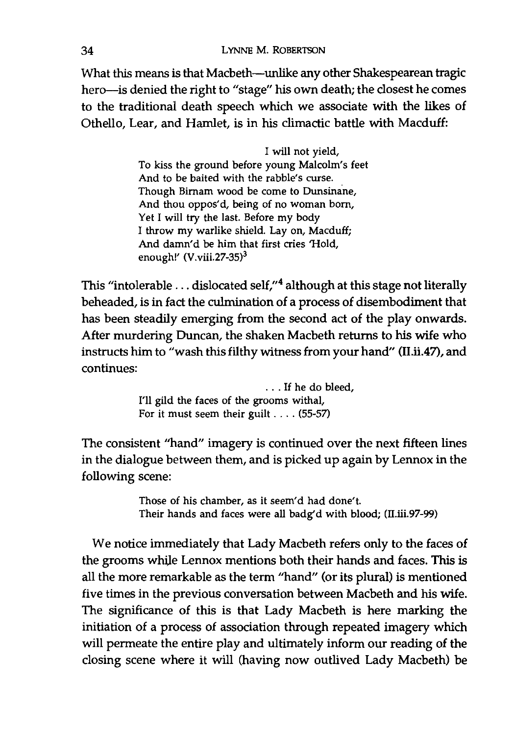What this means is that Macbeth--unlike any other Shakespearean tragic hero-is denied the right to "stage" his own death; the closest he comes to the traditional death speech which we associate with the likes of Othello, Lear, and Hamlet, is in his climactic battle with Macduff:

> I will not yield, To kiss the ground before young Malcolm's feet And to be baited with the rabble's curse. Though Birnam wood be come to Dunsinane, And thou oppos'd, being of no woman born, Yet I will try the last. Before my body I throw my warlike shield. Lay on, Macduff; And damn'd be him that first cries 'Hold, enough!'  $(V.viii.27-35)^3$

This "intolerable ... dislocated self,"<sup>4</sup> although at this stage not literally beheaded, is in fact the culmination of a process of disembodiment that has been steadily emerging from the second act of the play onwards. After murdering Duncan, the shaken Macbeth returns to his wife who instructs him to "wash this filthy witness from your hand" (II.ii.47), and continues:

> . . . If he do bleed, I'll gild the faces of the grooms withal, For it must seem their guilt .... (55-57)

The consistent "hand" imagery is continued over the next fifteen lines in the dialogue between them, and is picked up again by Lennox in the following scene:

> Those of his chamber, as it seem'd had done't. Their hands and faces were all badg'd with blood; (II.iii.97-99)

We notice immediately that Lady Macbeth refers only to the faces of the grooms whiJe Lennox mentions both their hands and faces. This is all the more remarkable as the term "hand" (or its plural) is mentioned five times in the previous conversation between Macbeth and his wife. The significance of this is that Lady Macbeth is here marking the initiation of a process of association through repeated imagery which will permeate the entire play and ultimately inform our reading of the closing scene where it will (having now outlived Lady Macbeth) be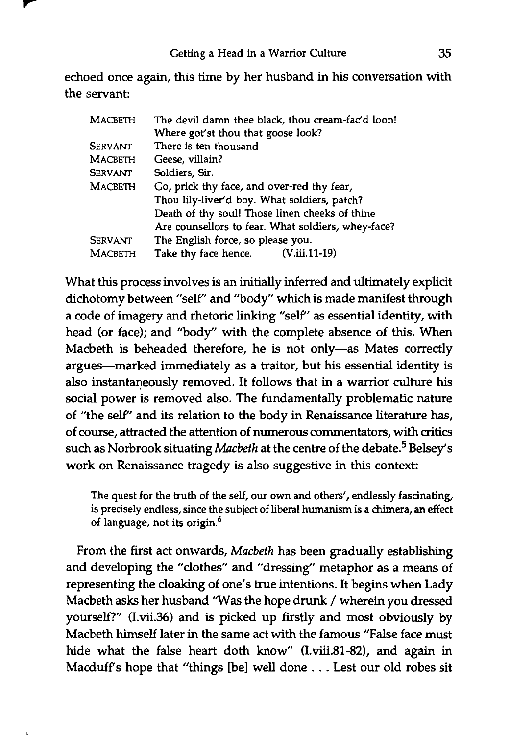echoed once again, this time by her husband in his conversation with the servant:

| <b>MACBETH</b> | The devil damn thee black, thou cream-fac'd loon!  |
|----------------|----------------------------------------------------|
|                | Where got'st thou that goose look?                 |
| SERVANT        | There is ten thousand-                             |
| <b>MACBETH</b> | Geese, villain?                                    |
| <b>SERVANT</b> | Soldiers, Sir.                                     |
| <b>MACBETH</b> | Go, prick thy face, and over-red thy fear,         |
|                | Thou lily-liver'd boy. What soldiers, patch?       |
|                | Death of thy soul! Those linen cheeks of thine     |
|                | Are counsellors to fear. What soldiers, whey-face? |
| <b>SERVANT</b> | The English force, so please you.                  |
| <b>MACBETH</b> | Take thy face hence.<br>(V.iii.11-19)              |

What this process involves is an initially inferred and ultimately explicit dichotomy between "self' and ''body'' which is made manifest through a code of imagery and rhetoric linking "self" as essential identity, with head (or face); and ''body'' with the complete absence of this. When Macbeth is beheaded therefore, he is not only-as Mates correctly argues-marked immediately as a traitor, but his essential identity is also instantaneously removed. It follows that in a warrior culture his social power is removed also. The fundamentally problematic nature of "the self' and its relation to the body in Renaissance literature has, of course, attracted the attention of numerous commentators, with critics such as Norbrook situating *Macbeth* at the centre of the debate.<sup>5</sup> Belsey's work on Renaissance tragedy is also suggestive in this context:

The quest for the truth of the self, our own and others', endlessly fascinating, is precisely endless, since the subject of liberal humanism is a chimera, an effect of language, not its origin.<sup>6</sup>

From the first act onwards, *Macbeth* has been gradually establishing and developing the "clothes" and "dressing" metaphor as a means of representing the cloaking of one's true intentions. It begins when Lady Macbeth asks her husband 'Was the hope drunk / wherein you dressed yourself?" (I.vii.36) and is picked up firstly and most obviously by Macbeth himself later in the same act with the famous "False face must hide what the false heart doth know" (I.viii.81-82), and again in Macduffs hope that "things [be] well done ... Lest our old robes sit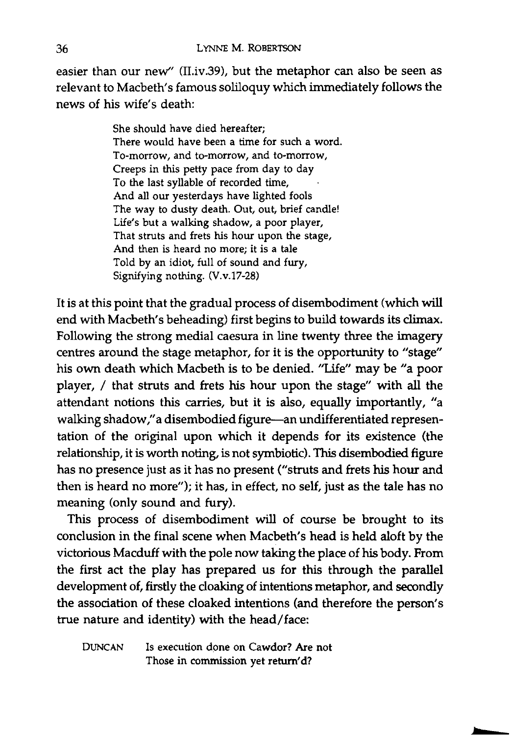easier than our new" (II.iv.39), but the metaphor can also be seen as relevant to Macbeth's famous soliloquy which immediately follows the news of his wife's death:

> She should have died hereafter; There would have been a time for such a word. To-morrow, and to-morrow, and to-morrow, Creeps in this petty pace from day to day To the last syllable of recorded time, And all our yesterdays have lighted fools The way to dusty death. Out, out, brief candle! Life's but a walking shadow, a poor player, That struts and frets his hour upon the stage, And then is heard no more; it is a tale Told by an idiot, full of sound and fury, Signifying nothing. (V.v.17-28)

It is at this point that the gradual process of disembodiment (which will end with Macbeth's beheading) first begins to build towards its climax. Following the strong medial caesura in line twenty three the imagery centres around the stage metaphor, for it is the opportunity to "stage" his own death which Macbeth is to be denied. "Life" may be "a poor player, / that struts and frets his hour upon the stage" with all the attendant notions this carries, but it is also, equally importantly, "a walking shadow," a disembodied figure-an undifferentiated representation of the original upon which it depends for its existence (the relationship, it is worth noting, is not symbiotic). This disembodied figure has no presence just as it has no present ("struts and frets his hour and then is heard no more"); it has, in effect, no self, just as the tale has no meaning (only sound and fury).

This process of disembodiment will of course be brought to its conclusion in the final scene when Macbeth's head is held aloft by the victorious Macduff with the pole now taking the place of his body. From the first act the play has prepared us for this through the parallel development of, firstly the cloaking of intentions metaphor, and secondly the association of these cloaked intentions (and therefore the person's true nature and identity) with the head/face:

DUNCAN Is execution done on Cawdor? Are not Those in commission yet return'd?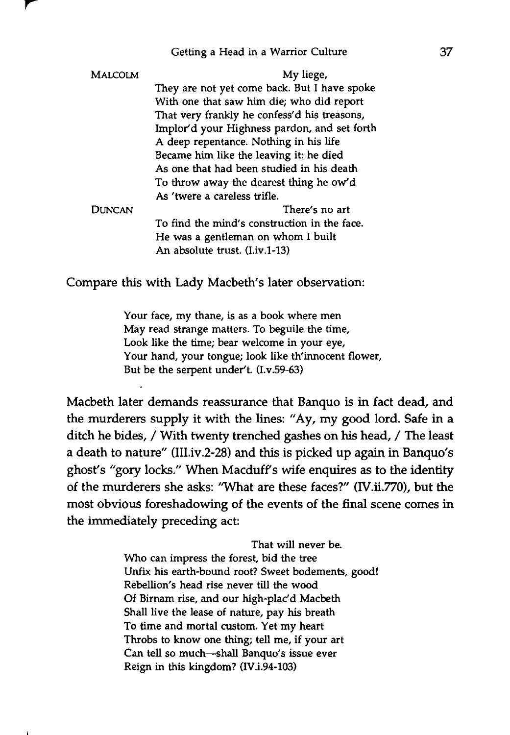## Getting a Head in a Warrior Culture

| <b>MALCOLM</b> | My liege,                                    |
|----------------|----------------------------------------------|
|                | They are not yet come back. But I have spoke |
|                | With one that saw him die; who did report    |
|                | That very frankly he confess'd his treasons, |
|                | Implor'd your Highness pardon, and set forth |
|                | A deep repentance. Nothing in his life       |
|                | Became him like the leaving it: he died      |
|                | As one that had been studied in his death    |
|                | To throw away the dearest thing he ow'd      |
|                | As 'twere a careless trifle.                 |
| DUNCAN         | There's no art                               |
|                | To find the mind's construction in the face. |
|                | He was a gentleman on whom I built           |
|                | An absolute trust. (I.iv.1-13)               |

Compare this with Lady Macbeth's later observation:

Your face, my thane, is as a book where men May read strange matters. To beguile the time, Look like the time; bear welcome in your eye, Your hand, your tongue; look like th'innocent flower, But be the serpent under't. (I.v.59-63)

Macbeth later demands reassurance that Banquo is in fact dead, and the murderers supply it with the lines: "Ay, my good lord. Safe in a ditch he bides, / With twenty trenched gashes on his head, / The least a death to nature" (III.iv.2-28) and this is picked up again in Banquo's ghost's "gory locks." When Macduff's wife enquires as to the identity of the murderers she asks: "What are these faces?" (IV.ii.770), but the most obvious foreshadowing of the events of the final scene comes in the immediately preceding act:

> That will never be. Who can impress the forest, bid the tree Unfix his earth-bound root? Sweet bodements, good! Rebellion'S head rise never till the wood Of Birnam rise, and our high-plac'd Macbeth Shall live the lease of nature, pay his breath To time and mortal custom. Yet my heart Throbs to know one thing; tell me, if your art Can tell so much-shall Banquo's issue ever Reign in this kingdom? (IV.i.94-103)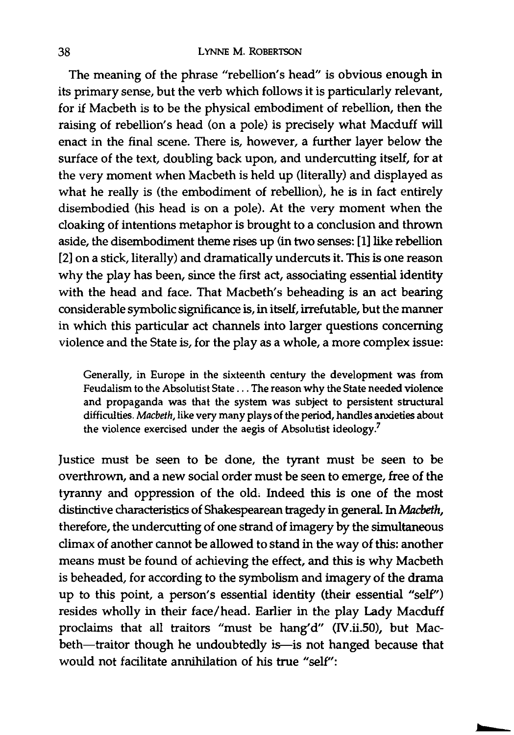The meaning of the phrase "rebellion's head" is obvious enough in its primary sense, but the verb which follows it is particularly relevant, for if Macbeth is to be the physical embodiment of rebellion, then the raising of rebellion's head (on a pole) is precisely what Macduff will enact in the final scene. There is, however, a further layer below the surface of the text, doubling back upon, and undercutting itself, for at the very moment when Macbeth is held up (literally) and displayed as what he really is (the embodiment of rebellion), he is in fact entirely disembodied (his head is on a pole). At the very moment when the cloaking of intentions metaphor is brought to a conclusion and thrown aside, the disembodiment theme rises up (in two senses: [1] like rebellion [2] on a stick, literally) and dramatically undercuts it. This is one reason why the play has been, since the first act, associating essential identity with the head and face. That Macbeth's beheading is an act bearing considerable symbolic significance is, in itself, irrefutable, but the manner in which this particular act channels into larger questions concerning violence and the State is, for the play as a whole, a more complex issue:

Generally, in Europe in the sixteenth century the development was from Feudalism to the Absolutist State ... The reason why the State needed violence and propaganda was that the system was subject to persistent structural difficulties. *Macbeth,* like very many plays of the period, handles anxieties about the violence exercised under the aegis of Absolutist ideology.<sup>7</sup>

Justice must be seen to be done, the tyrant must be seen to be overthrown, and a new social order must be seen to emerge, free of the tyranny and oppression of the old. Indeed this is one of the most distinctive characteristics of Shakespearean tragedy in general. In *Macbeth,*  therefore, the undercutting of one strand of imagery by the simultaneous climax of another cannot be allowed to stand in the way of this: another means must be found of achieving the effect, and this is why Macbeth is beheaded, for according to the symbolism and imagery of the drama up to this point, a person's essential identity (their essential "self") resides wholly in their face/head. Earlier in the play Lady Macduff proclaims that all traitors "must be hang'd" (IV.ii.50), but Macbeth-traitor though he undoubtedly is-is not hanged because that would not facilitate annihilation of his true "self":

**bE**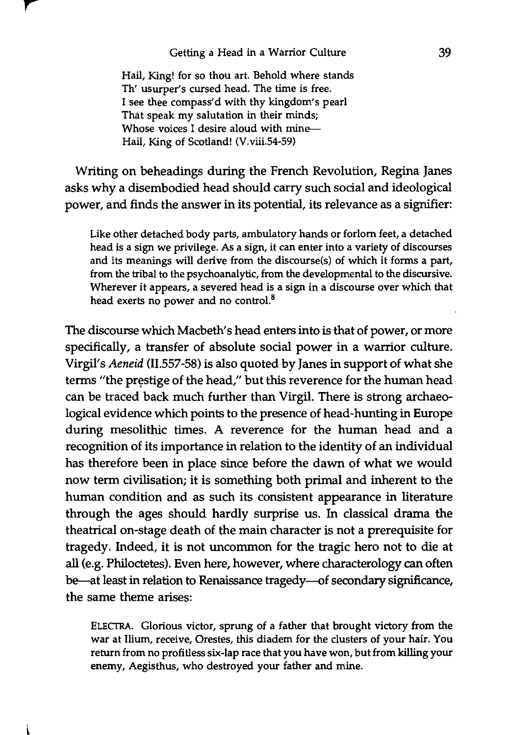## Getting a Head in a Warrior Culture

Hail, King! for so thou art. Behold where stands Th' usurper's cursed head. The time is free. I see thee compass'd with thy kingdom's pearl That speak my salutation in their minds; Whose voices I desire aloud with mine-Hail, King of Scotland! (V.viii.S4-S9)

Writing on beheadings during the French Revolution, Regina Janes asks why a disembodied head should carry such social and ideological power, and finds the answer in its potential, its relevance as a signifier:

Like other detached body parts, ambulatory hands or forlorn feet, a detached head is a sign we privilege. As a sign, it can enter into a variety of discourses and its meanings will derive from the discourse(s) of which it forms a part, from the tribal to the psychoanalytic, from the developmental to the discursive. Wherever it appears, a severed head is a sign in a discourse over which that head exerts no power and no control.<sup>8</sup>

The discourse which Macbeth's head enters into is that of power, or more specifically, a transfer of absolute social power in a warrior culture. Virgil's *Aeneid* (11.557-58) is also quoted by Janes in support of what she terms "the prestige of the head," but this reverence for the human head can be traced back much further than Virgil. There is strong archaeological evidence which points to the presence of head-hunting in Europe during mesolithic times. A reverence for the human head and a recognition of its importance in relation to the identity of an individual has therefore been in place since before the dawn of what we would now term civilisation; it is something both primal and inherent to the human condition and as such its consistent appearance in literature through the ages should hardly surprise us. In classical drama the theatrical on-stage death of the main character is not a prerequisite for tragedy. Indeed, it is not uncommon for the tragic hero not to die at all (e.g. Philoctetes). Even here, however, where characterology can often be-at least in relation to Renaissance tragedy-of secondary significance, the same theme arises:

ELECfRA. Glorious victor, sprung of a father that brought victory from the war at Ilium, receive, Orestes, this diadem for the clusters of your hair. You return from no profitless six-lap race that you have won, but from killing your enemy, Aegisthus, who destroyed your father and mine.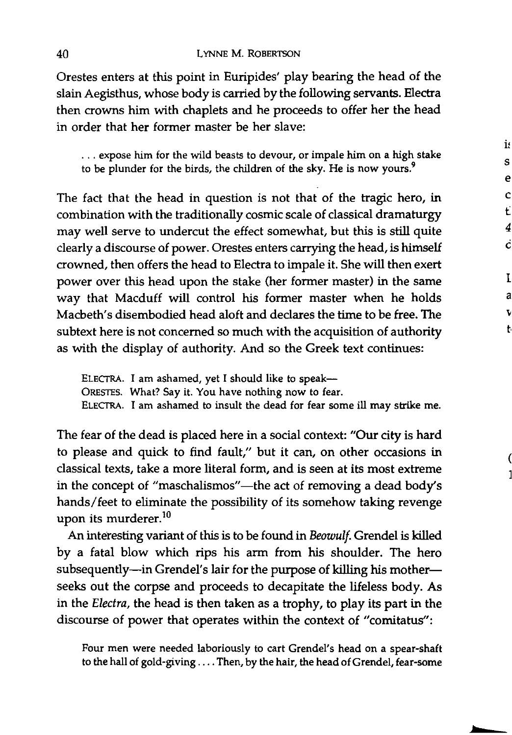Orestes enters at this point in Euripides' play bearing the head of the slain Aegisthus, whose body is carried by the following servants. Electra then crowns him with chaplets and he proceeds to offer her the head in order that her former master be her slave:

... expose him for the wild beasts to devour, or impale him on a high stake to be plunder for the birds, the children of the sky. He is now yours.<sup>9</sup>

s e c t 4 C

is

I a

t

The fact that the head in question is not that of the tragic hero, in combination with the traditionally cosmic scale of classical dramaturgy may well serve to undercut the effect somewhat, but this is still quite clearly a discourse of power. Orestes enters carrying the head, is himself crowned, then offers the head to Electra to impale it. She will then exert power over this head upon the stake (her former master) in the same way that Macduff will control his former master when he holds Macbeth's disembodied head aloft and declares the time to be free. The subtext here is not concerned so much with the acquisition of authority as with the display of authority. And so the Greek text continues:

ELECTRA. I am ashamed, yet I should like to speak-ORESTES. What? Say it. You have nothing now to fear. ELECfRA. I am ashamed to insult the dead for fear some ill may strike me.

The fear of the dead is placed here in a social context: "Our city is hard to please and quick to find fault," but it can, on other occasions in classical texts, take a more literal form, and is seen at its most extreme in the concept of "maschalismos"-the act of removing a dead body's hands/ feet to eliminate the possibility of its somehow taking revenge upon its murderer.<sup>10</sup>

An interesting variant of this is to be found in *Beowulf.* Grendel is killed by a fatal blow which rips his arm from his shoulder. The hero subsequently-in Grendel's lair for the purpose of killing his motherseeks out the corpse and proceeds to decapitate the lifeless body. As in the *Electra,* the head is then taken as a trophy, to play its part in the discourse of power that operates within the context of "comitatus":

Four men were needed laboriously to cart Grendel's head on a spear-shaft to the hall of gold-giving .... Then, by the hair, the head of Grendel, fear-some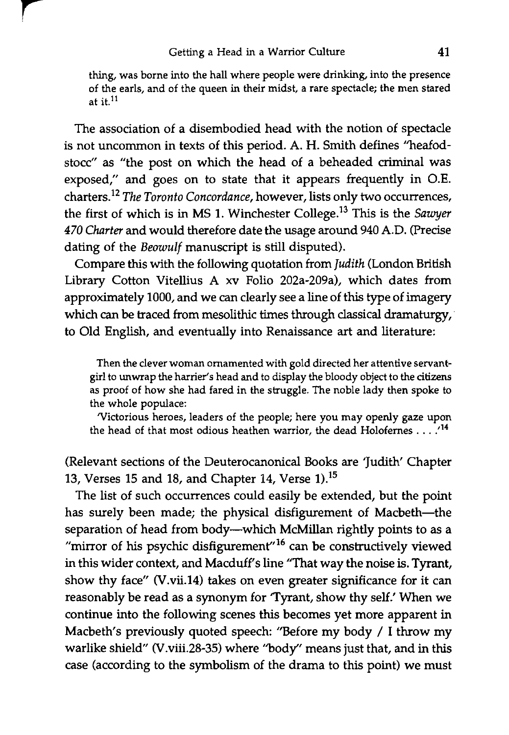thing, was borne into the hall where people were drinking, into the presence of the earls, and of the queen in their midst, a rare spectacle; the men stared at it. $11$ 

The association of a disembodied head with the notion of spectacle is not uncommon in texts of this period. A. H. Smith defines "heafodstocc" as "the post on which the head of a beheaded criminal was exposed," and goes on to state that it appears frequently in O.E. charters.<sup>12</sup> The Toronto Concordance, however, lists only two occurrences, the first of which is in MS 1. Winchester College.<sup>13</sup> This is the *Sawyer 470 Charter* and would therefore date the usage around 940 A.D. (precise dating of the *Beowulf* manuscript is still disputed).

Compare this with the following quotation from *Judith* (London British Library Cotton Vitellius A xv Folio 202a-209a), which dates from approximately 1000, and we can clearly see a line of this type of imagery which can be traced from mesolithic times through classical dramaturgy, to Old English, and eventually into Renaissance art and literature:

Then the clever woman ornamented with gold directed her attentive servantgirl to unwrap the harrier's head and to display the bloody object to the citizens as proof of how she had fared in the struggle. The noble lady then spoke to the whole populace:

'Victorious heroes, leaders of the people; here you may openly gaze upon the head of that most odious heathen warrior, the dead Holofernes . . .<sup>14</sup>

(Relevant sections of the Deuterocanonical Books are 'Judith' Chapter 13, Verses 15 and 18, and Chapter 14, Verse 1).15

The list of such occurrences could easily be extended, but the point has surely been made; the physical disfigurement of Macbeth-the separation of head from body--which McMillan rightly points to as a "mirror of his psychic disfigurement" $16$  can be constructively viewed in this wider context, and Macduff's line "That way the noise is. Tyrant, show thy face" (V.vii.14) takes on even greater significance for it can reasonably be read as a synonym for 'Tyrant, show thy self.' When we continue into the following scenes this becomes yet more apparent in Macbeth's previously quoted speech: "Before my body / I throw my warlike shield" (V.viii.28-35) where ''body'' means just that, and in this case (according to the symbolism of the drama to this point) we must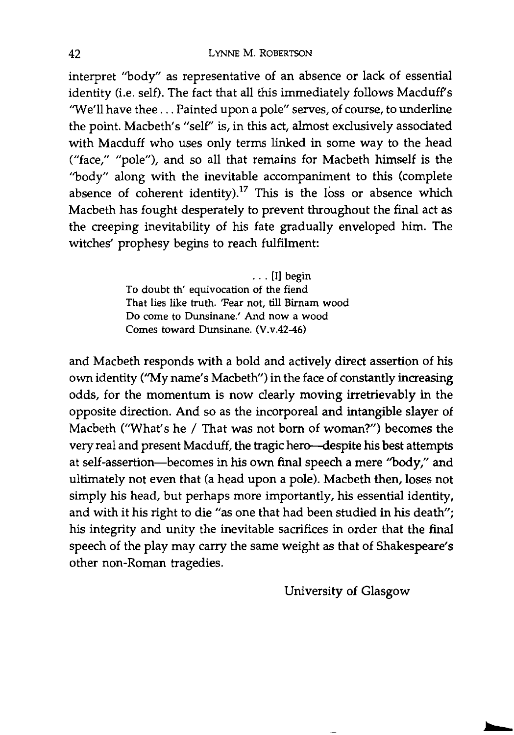interpret "body" as representative of an absence or lack of essential identity (i.e. self). The fact that all this immediately follows Macduff's 'We'll have thee ... Painted upon a pole" serves, of course, to underline the point. Macbeth's "self" is, in this act, almost exclusively associated with Macduff who uses only terms linked in some way to the head ("face," "pole"), and so all that remains for Macbeth himself is the "body" along with the inevitable accompaniment to this (complete absence of coherent identity).<sup>17</sup> This is the loss or absence which Macbeth has fought desperately to prevent throughout the final act as the creeping inevitability of his fate gradually enveloped him. The witches' prophesy begins to reach fulfilment:

> ... [I] begin To doubt th' equivocation of the fiend That lies like truth. 'Fear not, till Birnam wood Do come to Dunsinane: And now a wood Comes toward Dunsinane. (V.v.42-46)

and Macbeth responds with a bold and actively direct assertion of his own identity ("My name's Macbeth") in the face of constantly increasing odds, for the momentum is now clearly moving irretrievably in the opposite direction. And so as the incorporeal and intangible slayer of Macbeth ('What's he / That was not born of woman?") becomes the very real and present Macduff, the tragic hero--despite his best attempts at self-assertion-becomes in his own final speech a mere "body," and ultimately not even that (a head upon a pole). Macbeth then, loses not simply his head, but perhaps more importantly, his essential identity, and with it his right to die "as one that had been studied in his death"; his integrity and unity the inevitable sacrifices in order that the final speech of the play may carry the same weight as that of Shakespeare's other non-Roman tragedies.

University of Glasgow